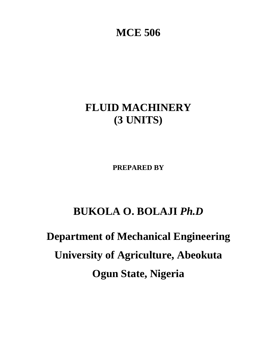# **MCE 506**

# **FLUID MACHINERY (3 UNITS)**

**PREPARED BY** 

# **BUKOLA O. BOLAJI** *Ph.D*

# **Department of Mechanical Engineering University of Agriculture, Abeokuta Ogun State, Nigeria**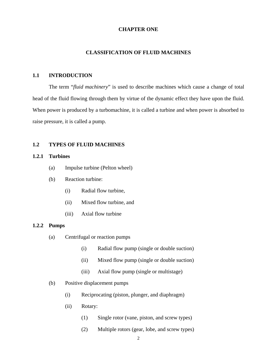#### **CHAPTER ONE**

# **CLASSIFICATION OF FLUID MACHINES**

# **1.1 INTRODUCTION**

The term "*fluid machinery*" is used to describe machines which cause a change of total head of the fluid flowing through them by virtue of the dynamic effect they have upon the fluid. When power is produced by a turbomachine, it is called a turbine and when power is absorbed to raise pressure, it is called a pump.

# **1.2 TYPES OF FLUID MACHINES**

# **1.2.1 Turbines**

- (a) Impulse turbine (Pelton wheel)
- (b) Reaction turbine:
	- (i) Radial flow turbine,
	- (ii) Mixed flow turbine, and
	- (iii) Axial flow turbine

#### **1.2.2 Pumps**

- (a) Centrifugal or reaction pumps
	- (i) Radial flow pump (single or double suction)
	- (ii) Mixed flow pump (single or double suction)
	- (iii) Axial flow pump (single or multistage)
- (b) Positive displacement pumps
	- (i) Reciprocating (piston, plunger, and diaphragm)
	- (ii) Rotary:
		- (1) Single rotor (vane, piston, and screw types)
		- (2) Multiple rotors (gear, lobe, and screw types)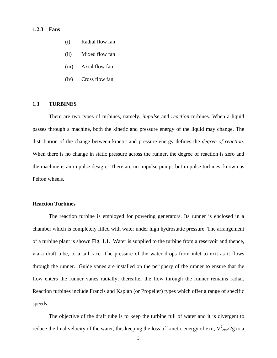#### **1.2.3 Fans**

- (i) Radial flow fan
- (ii) Mixed flow fan
- (iii) Axial flow fan
- (iv) Cross flow fan

#### **1.3 TURBINES**

There are two types of turbines, namely, *impulse* and *reaction* turbines. When a liquid passes through a machine, both the kinetic and pressure energy of the liquid may change. The distribution of the change between kinetic and pressure energy defines the *degree of reaction*. When there is no change in static pressure across the runner, the degree of reaction is zero and the machine is an impulse design. There are no impulse pumps but impulse turbines, known as Pelton wheels.

# **Reaction Turbines**

The reaction turbine is employed for powering generators. Its runner is enclosed in a chamber which is completely filled with water under high hydrostatic pressure. The arrangement of a turbine plant is shown Fig. 1.1. Water is supplied to the turbine from a reservoir and thence, via a draft tube, to a tail race. The pressure of the water drops from inlet to exit as it flows through the runner. Guide vanes are installed on the periphery of the runner to ensure that the flow enters the runner vanes radially; thereafter the flow through the runner remains radial. Reaction turbines include Francis and Kaplan (or Propeller) types which offer a range of specific speeds.

The objective of the draft tube is to keep the turbine full of water and it is divergent to reduce the final velocity of the water, this keeping the loss of kinetic energy of exit,  $V_{\text{exit}}^2/2g$  to a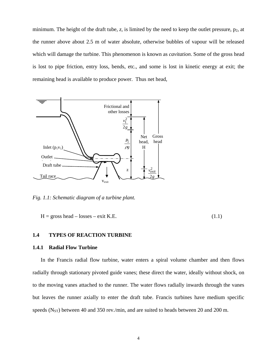minimum. The height of the draft tube,  $z$ , is limited by the need to keep the outlet pressure,  $p_2$ , at the runner above about 2.5 m of water absolute, otherwise bubbles of vapour will be released which will damage the turbine. This phenomenon is known as *cavitation*. Some of the gross head is lost to pipe friction, entry loss, bends, etc., and some is lost in kinetic energy at exit; the remaining head is available to produce power. Thus net head,



*Fig. 1.1: Schematic diagram of a turbine plant.* 

 $H = \text{gross head} - \text{losses} - \text{exit K.E.}$  (1.1)

#### **1.4 TYPES OF REACTION TURBINE**

#### **1.4.1 Radial Flow Turbine**

In the Francis radial flow turbine, water enters a spiral volume chamber and then flows radially through stationary pivoted guide vanes; these direct the water, ideally without shock, on to the moving vanes attached to the runner. The water flows radially inwards through the vanes but leaves the runner axially to enter the draft tube. Francis turbines have medium specific speeds ( $N_{ST}$ ) between 40 and 350 rev./min, and are suited to heads between 20 and 200 m.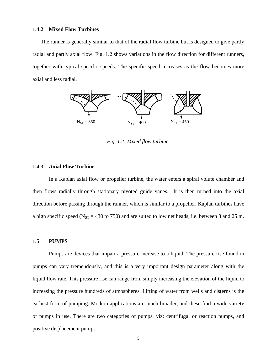#### **1.4.2 Mixed Flow Turbines**

The runner is generally similar to that of the radial flow turbine but is designed to give partly radial and partly axial flow. Fig. 1.2 shows variations in the flow direction for different runners, together with typical specific speeds. The specific speed increases as the flow becomes more axial and less radial.



*Fig. 1.2: Mixed flow turbine.* 

#### **1.4.3 Axial Flow Turbine**

In a Kaplan axial flow or propeller turbine, the water enters a spiral volute chamber and then flows radially through stationary pivoted guide vanes. It is then turned into the axial direction before passing through the runner, which is similar to a propeller. Kaplan turbines have a high specific speed ( $N_{ST}$  = 430 to 750) and are suited to low net heads, i.e. between 3 and 25 m.

# **1.5 PUMPS**

Pumps are devices that impart a pressure increase to a liquid. The pressure rise found in pumps can vary tremendously, and this is a very important design parameter along with the liquid flow rate. This pressure rise can range from simply increasing the elevation of the liquid to increasing the pressure hundreds of atmospheres. Lifting of water from wells and cisterns is the earliest form of pumping. Modern applications are much broader, and these find a wide variety of pumps in use. There are two categories of pumps, viz: centrifugal or reaction pumps, and positive displacement pumps.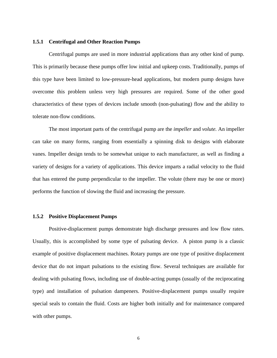#### **1.5.1 Centrifugal and Other Reaction Pumps**

Centrifugal pumps are used in more industrial applications than any other kind of pump. This is primarily because these pumps offer low initial and upkeep costs. Traditionally, pumps of this type have been limited to low-pressure-head applications, but modern pump designs have overcome this problem unless very high pressures are required. Some of the other good characteristics of these types of devices include smooth (non-pulsating) flow and the ability to tolerate non-flow conditions.

The most important parts of the centrifugal pump are the *impeller* and *volute.* An impeller can take on many forms, ranging from essentially a spinning disk to designs with elaborate vanes. Impeller design tends to be somewhat unique to each manufacturer, as well as finding a variety of designs for a variety of applications. This device imparts a radial velocity to the fluid that has entered the pump perpendicular to the impeller. The volute (there may be one or more) performs the function of slowing the fluid and increasing the pressure.

# **1.5.2 Positive Displacement Pumps**

Positive-displacement pumps demonstrate high discharge pressures and low flow rates. Usually, this is accomplished by some type of pulsating device. A piston pump is a classic example of positive displacement machines. Rotary pumps are one type of positive displacement device that do not impart pulsations to the existing flow. Several techniques are available for dealing with pulsating flows, including use of double-acting pumps (usually of the reciprocating type) and installation of pulsation dampeners. Positive-displacement pumps usually require special seals to contain the fluid. Costs are higher both initially and for maintenance compared with other pumps.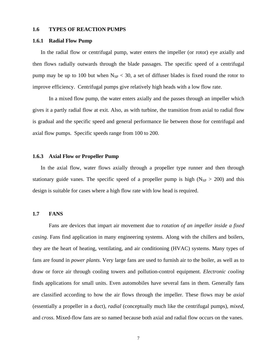#### **1.6 TYPES OF REACTION PUMPS**

#### **1.6.1 Radial Flow Pump**

In the radial flow or centrifugal pump, water enters the impeller (or rotor) eye axially and then flows radially outwards through the blade passages. The specific speed of a centrifugal pump may be up to 100 but when  $N_{SP}$  < 30, a set of diffuser blades is fixed round the rotor to improve efficiency. Centrifugal pumps give relatively high heads with a low flow rate.

In a mixed flow pump, the water enters axially and the passes through an impeller which gives it a partly radial flow at exit. Also, as with turbine, the transition from axial to radial flow is gradual and the specific speed and general performance lie between those for centrifugal and axial flow pumps. Specific speeds range from 100 to 200.

#### **1.6.3 Axial Flow or Propeller Pump**

In the axial flow, water flows axially through a propeller type runner and then through stationary guide vanes. The specific speed of a propeller pump is high ( $N_{SP} > 200$ ) and this design is suitable for cases where a high flow rate with low head is required.

# **1.7 FANS**

Fans are devices that impart air movement due to *rotation of an impeller inside a fixed casing*. Fans find application in many engineering systems. Along with the chillers and boilers, they are the heart of heating, ventilating, and air conditioning (HVAC) systems. Many types of fans are found in *power plants*. Very large fans are used to furnish air to the boiler, as well as to draw or force air through cooling towers and pollution-control equipment. *Electronic cooling* finds applications for small units. Even automobiles have several fans in them. Generally fans are classified according to how the air flows through the impeller. These flows may be *axial* (essentially a propeller in a duct), *radial* (conceptually much like the centrifugal pumps), *mixed*, and *cross*. Mixed-flow fans are so named because both axial and radial flow occurs on the vanes.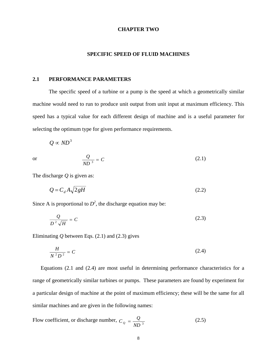#### **CHAPTER TWO**

#### **SPECIFIC SPEED OF FLUID MACHINES**

# **2.1 PERFORMANCE PARAMETERS**

The specific speed of a turbine or a pump is the speed at which a geometrically similar machine would need to run to produce unit output from unit input at maximum efficiency. This speed has a typical value for each different design of machine and is a useful parameter for selecting the optimum type for given performance requirements.

$$
Q \propto N D^3
$$

or 
$$
\frac{Q}{ND^3} = C
$$
 (2.1)

The discharge *Q* is given as:

$$
Q = C_d A \sqrt{2gH} \tag{2.2}
$$

Since A is proportional to  $D^2$ , the discharge equation may be:

$$
\frac{Q}{D^2\sqrt{H}} = C\tag{2.3}
$$

Eliminating *Q* between Eqs. (2.1) and (2.3) gives

$$
\frac{H}{N^2 D^2} = C \tag{2.4}
$$

Equations (2.1 and (2.4) are most useful in determining performance characteristics for a range of geometrically similar turbines or pumps. These parameters are found by experiment for a particular design of machine at the point of maximum efficiency; these will be the same for all similar machines and are given in the following names:

Flow coefficient, or discharge number, 
$$
C_Q = \frac{Q}{ND^3}
$$
 (2.5)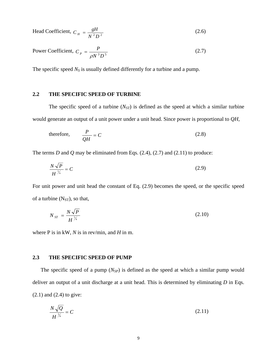Head Coefficient, 
$$
C_H = \frac{gH}{N^2 D^2}
$$
 (2.6)

Power Coefficient, 
$$
C_p = \frac{P}{\rho N^3 D^5}
$$
 (2.7)

The specific speed  $N<sub>S</sub>$  is usually defined differently for a turbine and a pump.

# **2.2 THE SPECIFIC SPEED OF TURBINE**

The specific speed of a turbine  $(N_{ST})$  is defined as the speed at which a similar turbine would generate an output of a unit power under a unit head. Since power is proportional to *QH*,

therefore, 
$$
\frac{P}{QH} = C
$$
 (2.8)

The terms *D* and *Q* may be eliminated from Eqs. (2.4), (2.7) and (2.11) to produce:

$$
\frac{N\sqrt{P}}{H^{\frac{5}{4}}} = C\tag{2.9}
$$

For unit power and unit head the constant of Eq. (2.9) becomes the speed, or the specific speed of a turbine  $(N_{ST})$ , so that,

$$
N_{ST} = \frac{N\sqrt{P}}{H^{\frac{5}{4}}} \tag{2.10}
$$

where P is in kW, *N* is in rev/min, and *H* in m.

# **2.3 THE SPECIFIC SPEED OF PUMP**

The specific speed of a pump  $(N_{SP})$  is defined as the speed at which a similar pump would deliver an output of a unit discharge at a unit head. This is determined by eliminating *D* in Eqs. (2.1) and (2.4) to give:

$$
\frac{N\sqrt{Q}}{H^{\frac{3}{4}}} = C\tag{2.11}
$$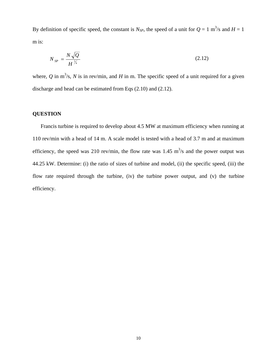By definition of specific speed, the constant is  $N_{SP}$ , the speed of a unit for  $Q = 1$  m<sup>3</sup>/s and  $H = 1$ m is:

$$
N_{SP} = \frac{N\sqrt{Q}}{H^{\frac{3}{4}}} \tag{2.12}
$$

where, Q in  $m^3$ /s, N is in rev/min, and H in m. The specific speed of a unit required for a given discharge and head can be estimated from Eqs (2.10) and (2.12).

# **QUESTION**

Francis turbine is required to develop about 4.5 MW at maximum efficiency when running at 110 rev/min with a head of 14 m. A scale model is tested with a head of 3.7 m and at maximum efficiency, the speed was 210 rev/min, the flow rate was 1.45  $\text{m}^3\text{/s}$  and the power output was 44.25 kW. Determine: (i) the ratio of sizes of turbine and model, (ii) the specific speed, (iii) the flow rate required through the turbine, (iv) the turbine power output, and (v) the turbine efficiency.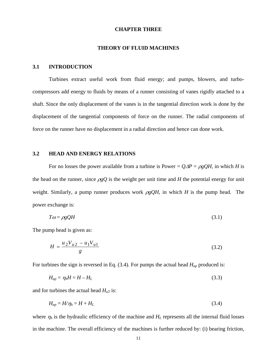#### **CHAPTER THREE**

#### **THEORY OF FLUID MACHINES**

# **3.1 INTRODUCTION**

Turbines extract useful work from fluid energy; and pumps, blowers, and turbocompressors add energy to fluids by means of a runner consisting of vanes rigidly attached to a shaft. Since the only displacement of the vanes is in the tangential direction work is done by the displacement of the tangential components of force on the runner. The radial components of force on the runner have no displacement in a radial direction and hence can done work.

#### **3.2 HEAD AND ENERGY RELATIONS**

For no losses the power available from a turbine is Power =  $Q\Delta P = \rho g QH$ , in which *H* is the head on the runner, since  $\rho gQ$  is the weight per unit time and *H* the potential energy for unit weight. Similarly, a pump runner produces work  $\rho g O H$ , in which *H* is the pump head. The power exchange is:

$$
T\omega = \rho g Q H \tag{3.1}
$$

The pump head is given as:

$$
H = \frac{u_2 V_{u2} - u_1 V_{u1}}{g} \tag{3.2}
$$

For turbines the sign is reversed in Eq. (3.4). For pumps the actual head *Hap* produced is:

$$
H_{ap} = \eta_h H = H - H_L \tag{3.3}
$$

and for turbines the actual head  $H_{aT}$  is:

$$
H_{ap} = H/\eta_h = H + H_L \tag{3.4}
$$

where  $\eta_h$  is the hydraulic efficiency of the machine and  $H_L$  represents all the internal fluid losses in the machine. The overall efficiency of the machines is further reduced by: (i) bearing friction,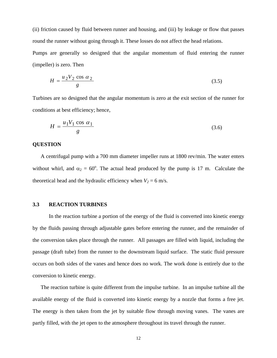(ii) friction caused by fluid between runner and housing, and (iii) by leakage or flow that passes round the runner without going through it. These losses do not affect the head relations. Pumps are generally so designed that the angular momentum of fluid entering the runner (impeller) is zero. Then

$$
H = \frac{u_2 V_2 \cos \alpha_2}{g} \tag{3.5}
$$

Turbines are so designed that the angular momentum is zero at the exit section of the runner for conditions at best efficiency; hence,

$$
H = \frac{u_1 V_1 \cos \alpha_1}{g} \tag{3.6}
$$

# **QUESTION**

A centrifugal pump with a 700 mm diameter impeller runs at 1800 rev/min. The water enters without whirl, and  $\alpha_2 = 60^\circ$ . The actual head produced by the pump is 17 m. Calculate the theoretical head and the hydraulic efficiency when  $V_2 = 6$  m/s.

#### **3.3 REACTION TURBINES**

In the reaction turbine a portion of the energy of the fluid is converted into kinetic energy by the fluids passing through adjustable gates before entering the runner, and the remainder of the conversion takes place through the runner. All passages are filled with liquid, including the passage (draft tube) from the runner to the downstream liquid surface. The static fluid pressure occurs on both sides of the vanes and hence does no work. The work done is entirely due to the conversion to kinetic energy.

The reaction turbine is quite different from the impulse turbine. In an impulse turbine all the available energy of the fluid is converted into kinetic energy by a nozzle that forms a free jet. The energy is then taken from the jet by suitable flow through moving vanes. The vanes are partly filled, with the jet open to the atmosphere throughout its travel through the runner.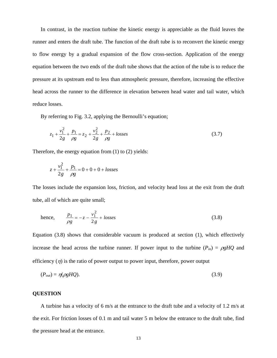In contrast, in the reaction turbine the kinetic energy is appreciable as the fluid leaves the runner and enters the draft tube. The function of the draft tube is to reconvert the kinetic energy to flow energy by a gradual expansion of the flow cross-section. Application of the energy equation between the two ends of the draft tube shows that the action of the tube is to reduce the pressure at its upstream end to less than atmospheric pressure, therefore, increasing the effective head across the runner to the difference in elevation between head water and tail water, which reduce losses.

By referring to Fig. 3.2, applying the Bernoulli's equation;

$$
z_1 + \frac{v_1^2}{2g} + \frac{p_1}{\rho g} = z_2 + \frac{v_2^2}{2g} + \frac{p_2}{\rho g} + \text{losses}
$$
 (3.7)

Therefore, the energy equation from (1) to (2) yields:

$$
z + \frac{v_1^2}{2g} + \frac{p_1}{\rho g} = 0 + 0 + 0 + \text{losses}
$$

The losses include the expansion loss, friction, and velocity head loss at the exit from the draft tube, all of which are quite small;

hence, 
$$
\frac{p_1}{\rho g} = -z - \frac{v_1^2}{2g} + \text{losses}
$$
 (3.8)

Equation (3.8) shows that considerable vacuum is produced at section (1), which effectively increase the head across the turbine runner. If power input to the turbine  $(P_{in}) = \rho g H Q$  and efficiency  $(\eta)$  is the ratio of power output to power input, therefore, power output

$$
(P_{out}) = \eta(\rho g H Q). \tag{3.9}
$$

# **QUESTION**

A turbine has a velocity of 6 m/s at the entrance to the draft tube and a velocity of 1.2 m/s at the exit. For friction losses of 0.1 m and tail water 5 m below the entrance to the draft tube, find the pressure head at the entrance.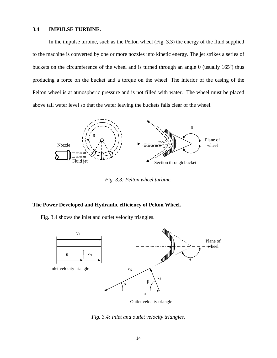#### **3.4 IMPULSE TURBINE.**

 In the impulse turbine, such as the Pelton wheel (Fig. 3.3) the energy of the fluid supplied to the machine is converted by one or more nozzles into kinetic energy. The jet strikes a series of buckets on the circumference of the wheel and is turned through an angle  $\theta$  (usually 165<sup>o</sup>) thus producing a force on the bucket and a torque on the wheel. The interior of the casing of the Pelton wheel is at atmospheric pressure and is not filled with water. The wheel must be placed above tail water level so that the water leaving the buckets falls clear of the wheel.



*Fig. 3.3: Pelton wheel turbine.* 

# **The Power Developed and Hydraulic efficiency of Pelton Wheel.**

Fig. 3.4 shows the inlet and outlet velocity triangles.



Outlet velocity triangle

*Fig. 3.4: Inlet and outlet velocity triangles.*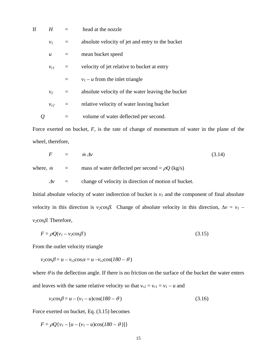| If | $H$ and $H$      | $=$ | head at the nozzle                                |
|----|------------------|-----|---------------------------------------------------|
|    | $v_I$            | $=$ | absolute velocity of jet and entry to the bucket  |
|    | $\boldsymbol{u}$ | $=$ | mean bucket speed                                 |
|    | $v_{rl}$         |     | velocity of jet relative to bucket at entry       |
|    |                  | $=$ | $v_1 - u$ from the inlet triangle                 |
|    | v <sub>2</sub>   |     | absolute velocity of the water leaving the bucket |
|    | $v_{r2}$         |     | relative velocity of water leaving bucket         |
|    |                  |     | volume of water deflected per second.             |

Force exerted on bucket, *F*, is the rate of change of momentum of water in the plane of the wheel, therefore,

$$
F = \dot{m} \Delta v \tag{3.14}
$$

where,  $\dot{m}$  = mass of water deflected per second =  $\rho Q$  (kg/s)

<sup>Δ</sup>*v* = change of velocity in direction of motion of bucket.

Initial absolute velocity of water indirection of bucket is  $v_1$  and the component of final absolute velocity in this direction is  $v_2 \cos \beta$ . Change of absolute velocity in this direction,  $\Delta v = v_1$  – *v2*cosβ. Therefore,

$$
F = \rho Q(v_1 - v_2 \cos \beta) \tag{3.15}
$$

From the outlet velocity triangle

 $v_2 \cos \beta = u - v_{r2} \cos \alpha = u - v_{r2} \cos(180 - \theta)$ 

where  $\theta$  is the deflection angle. If there is no friction on the surface of the bucket the water enters and leaves with the same relative velocity so that  $v_{r2} = v_{r1} = v_1 - u$  and

$$
v_2 \cos \beta = u - (v_1 - u) \cos(180 - \theta)
$$
\n(3.16)

Force exerted on bucket, Eq. (3.15) becomes

*F* =  $\rho Q \{ v_1 - [u - (v_1 - u)\cos(180 - \theta)] \}$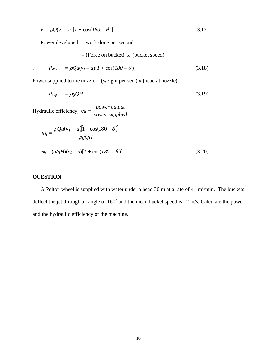$$
F = \rho Q(v_1 - u)[1 + \cos(180 - \theta)]
$$
\n(3.17)

Power developed = work done per second

 $=$  (Force on bucket) x (bucket speed)

$$
\therefore P_{dev} = \rho Qu(v_1 - u)[1 + \cos(180 - \theta)] \tag{3.18}
$$

Power supplied to the nozzle  $=$  (weight per sec.) x (head at nozzle)

$$
P_{sup} = \rho g Q H \tag{3.19}
$$

Hydraulic efficiency,  $\eta_h = \frac{power \ output}{power \ supplied}$ 

$$
\eta_h = \frac{\rho Q u (v_I - u)[1 + \cos(180 - \theta)]}{\rho g Q H}
$$
  

$$
\eta_h = (u/gH)(v_I - u)[1 + \cos(180 - \theta)]
$$
 (3.20)

# **QUESTION**

A Pelton wheel is supplied with water under a head 30 m at a rate of 41 m<sup>3</sup>/min. The buckets deflect the jet through an angle of  $160^{\circ}$  and the mean bucket speed is 12 m/s. Calculate the power and the hydraulic efficiency of the machine.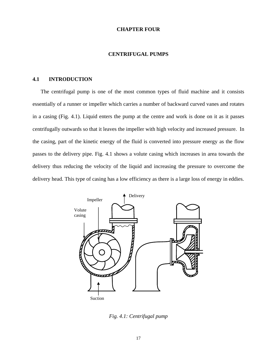#### **CHAPTER FOUR**

#### **CENTRIFUGAL PUMPS**

## **4.1 INTRODUCTION**

The centrifugal pump is one of the most common types of fluid machine and it consists essentially of a runner or impeller which carries a number of backward curved vanes and rotates in a casing (Fig. 4.1). Liquid enters the pump at the centre and work is done on it as it passes centrifugally outwards so that it leaves the impeller with high velocity and increased pressure. In the casing, part of the kinetic energy of the fluid is converted into pressure energy as the flow passes to the delivery pipe. Fig. 4.1 shows a volute casing which increases in area towards the delivery thus reducing the velocity of the liquid and increasing the pressure to overcome the delivery head. This type of casing has a low efficiency as there is a large loss of energy in eddies.



*Fig. 4.1: Centrifugal pump*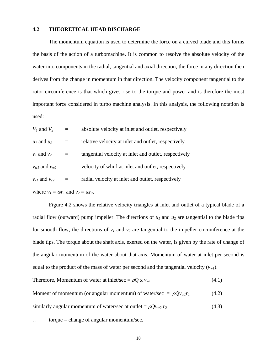#### **4.2 THEORETICAL HEAD DISCHARGE**

The momentum equation is used to determine the force on a curved blade and this forms the basis of the action of a turbomachine. It is common to resolve the absolute velocity of the water into components in the radial, tangential and axial direction; the force in any direction then derives from the change in momentum in that direction. The velocity component tangential to the rotor circumference is that which gives rise to the torque and power and is therefore the most important force considered in turbo machine analysis. In this analysis, the following notation is used:

| $V_1$ and $V_2$                                   | $=$ | absolute velocity at inlet and outlet, respectively   |  |  |  |
|---------------------------------------------------|-----|-------------------------------------------------------|--|--|--|
| $u_1$ and $u_2$                                   | $=$ | relative velocity at inlet and outlet, respectively   |  |  |  |
| $v_1$ and $v_2$                                   |     | tangential velocity at inlet and outlet, respectively |  |  |  |
| $v_{w1}$ and $v_{w2}$                             | $=$ | velocity of whirl at inlet and outlet, respectively   |  |  |  |
| $v_{r1}$ and $v_{r2}$                             | $=$ | radial velocity at inlet and outlet, respectively     |  |  |  |
| where $v_1 = \omega r_1$ and $v_2 = \omega r_2$ . |     |                                                       |  |  |  |

Figure 4.2 shows the relative velocity triangles at inlet and outlet of a typical blade of a radial flow (outward) pump impeller. The directions of  $u_1$  and  $u_2$  are tangential to the blade tips for smooth flow; the directions of  $v_1$  and  $v_2$  are tangential to the impeller circumference at the blade tips. The torque about the shaft axis, exerted on the water, is given by the rate of change of the angular momentum of the water about that axis. Momentum of water at inlet per second is equal to the product of the mass of water per second and the tangential velocity  $(v_{wl})$ .

Therefore, Momentum of water at inlet/sec = 
$$
\rho Q x v_{wI}
$$
 (4.1)  
Moment of momentum (or angular momentum) of water/sec =  $\rho Q v_{wI} r_I$  (4.2)

similarly angular momentum of water/sec at outlet =  $\rho Qv_{w2}.r_2$  (4.3)

∴ torque = change of angular momentum/sec.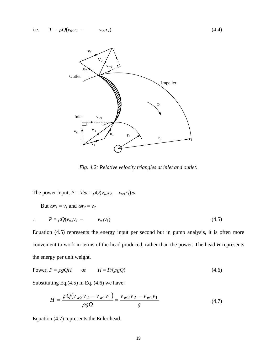

*Fig. 4.2: Relative velocity triangles at inlet and outlet.* 

The power input,  $P = T\omega = \rho Q(v_{w2}r_2 - v_{w1}r_1)\omega$ 

But  $\omega r_1 = v_1$  and  $\omega r_2 = v_2$ 

$$
\therefore \qquad P = \rho Q(v_{w2}v_2 - v_{w1}v_1) \tag{4.5}
$$

Equation (4.5) represents the energy input per second but in pump analysis, it is often more convenient to work in terms of the head produced, rather than the power. The head *H* represents the energy per unit weight.

Power, 
$$
P = \rho g Q H
$$
 or  $H = P/(\rho g Q)$  (4.6)

Substituting Eq.(4.5) in Eq. (4.6) we have:

$$
H = \frac{\rho Q (v_{w2}v_2 - v_{w1}v_1)}{\rho g Q} = \frac{v_{w2}v_2 - v_{w1}v_1}{g}
$$
(4.7)

Equation (4.7) represents the Euler head.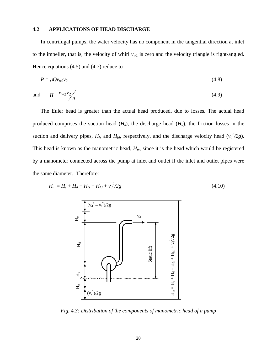# **4.2 APPLICATIONS OF HEAD DISCHARGE**

In centrifugal pumps, the water velocity has no component in the tangential direction at inlet to the impeller, that is, the velocity of whirl  $v_{wl}$  is zero and the velocity triangle is right-angled. Hence equations (4.5) and (4.7) reduce to

$$
P = \rho Q v_{w2} v_2 \tag{4.8}
$$

and 
$$
H = \frac{v_{w2}v_2}{g}
$$
 (4.9)

The Euler head is greater than the actual head produced, due to losses. The actual head produced comprises the suction head  $(H_s)$ , the discharge head  $(H_d)$ , the friction losses in the suction and delivery pipes,  $H_{fs}$  and  $H_{fd}$ , respectively, and the discharge velocity head  $(v_d^2/2g)$ . This head is known as the manometric head, *Hm*, since it is the head which would be registered by a manometer connected across the pump at inlet and outlet if the inlet and outlet pipes were the same diameter. Therefore:

$$
H_m = H_s + H_d + H_{fs} + H_{fd} + v_d^2/2g \tag{4.10}
$$



*Fig. 4.3: Distribution of the components of manometric head of a pump*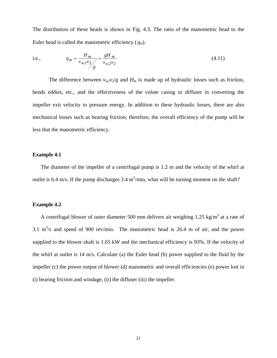The distribution of these heads is shown in Fig. 4.3. The ratio of the manometric head to the Euler head is called the manometric efficiency  $(\eta_m)$ .

i.e., 
$$
\eta_m = \frac{H_m}{v_{w2}v_2/2} = \frac{gH_m}{v_{w2}v_2}
$$
 (4.11)

The difference between  $v_{w2}v_2/g$  and  $H_m$  is made up of hydraulic losses such as friction, bends eddies, etc., and the effectiveness of the volute casing or diffuser in converting the impeller exit velocity to pressure energy. In addition to these hydraulic losses, there are also mechanical losses such as bearing friction; therefore, the overall efficiency of the pump will be less that the manometric efficiency.

# **Example 4.1**

The diameter of the impeller of a centrifugal pump is 1.2 m and the velocity of the whirl at outlet is 6.4 m/s. If the pump discharges 3.4 m<sup>3</sup>/min, what will be turning moment on the shaft?

# **Example 4.2**

A centrifugal blower of outer diameter 500 mm delivers air weighing 1.25 kg/m<sup>3</sup> at a rate of 3.1  $\text{m}^3$ /s and speed of 900 rev/min. The manometric head is 26.4 m of air, and the power supplied to the blower shaft is 1.65 kW and the mechanical efficiency is 93%. If the velocity of the whirl at outlet is 14 m/s. Calculate (a) the Euler head (b) power supplied to the fluid by the impeller (c) the power output of blower (d) manometric and overall efficiencies (e) power lost in (i) bearing friction and windage, (ii) the diffuser (iii) the impeller.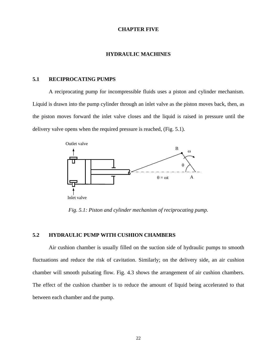#### **CHAPTER FIVE**

#### **HYDRAULIC MACHINES**

#### **5.1 RECIPROCATING PUMPS**

A reciprocating pump for incompressible fluids uses a piston and cylinder mechanism. Liquid is drawn into the pump cylinder through an inlet valve as the piston moves back, then, as the piston moves forward the inlet valve closes and the liquid is raised in pressure until the delivery valve opens when the required pressure is reached, (Fig. 5.1).



*Fig. 5.1: Piston and cylinder mechanism of reciprocating pump.* 

# **5.2 HYDRAULIC PUMP WITH CUSHION CHAMBERS**

Air cushion chamber is usually filled on the suction side of hydraulic pumps to smooth fluctuations and reduce the risk of cavitation. Similarly; on the delivery side, an air cushion chamber will smooth pulsating flow. Fig. 4.3 shows the arrangement of air cushion chambers. The effect of the cushion chamber is to reduce the amount of liquid being accelerated to that between each chamber and the pump.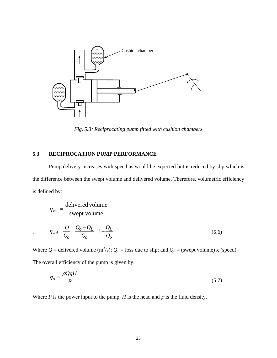

*Fig. 5.3: Reciprocating pump fitted with cushion chambers* 

# **5.3 RECIPROCATION PUMP PERFORMANCE**

∴

Pump delivery increases with speed as would be expected but is reduced by slip which is the difference between the swept volume and delivered volume. Therefore, volumetric efficiency is defined by:

$$
\eta_{vol} = \frac{\text{delivered volume}}{\text{swept volume}}
$$
  

$$
\eta_{vol} = \frac{Q}{Q_o} = \frac{Q_o - Q_L}{Q_o} = 1 - \frac{Q_L}{Q_o}
$$
(5.6)

Where  $Q$  = delivered volume (m<sup>3</sup>/s);  $Q_L$  = loss due to slip; and  $Q_o$  = (swept volume) x (speed). The overall efficiency of the pump is given by:

$$
\eta_o = \frac{\rho Q g H}{P} \tag{5.7}
$$

Where *P* is the power input to the pump, *H* is the head and  $\rho$  is the fluid density.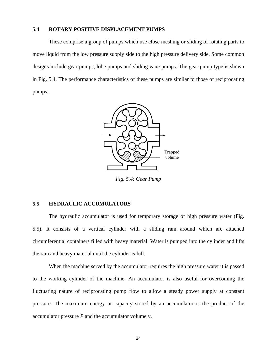# **5.4 ROTARY POSITIVE DISPLACEMENT PUMPS**

These comprise a group of pumps which use close meshing or sliding of rotating parts to move liquid from the low pressure supply side to the high pressure delivery side. Some common designs include gear pumps, lobe pumps and sliding vane pumps. The gear pump type is shown in Fig. 5.4. The performance characteristics of these pumps are similar to those of reciprocating pumps.



*Fig. 5.4: Gear Pump* 

# **5.5 HYDRAULIC ACCUMULATORS**

The hydraulic accumulator is used for temporary storage of high pressure water (Fig. 5.5). It consists of a vertical cylinder with a sliding ram around which are attached circumferential containers filled with heavy material. Water is pumped into the cylinder and lifts the ram and heavy material until the cylinder is full.

When the machine served by the accumulator requires the high pressure water it is passed to the working cylinder of the machine. An accumulator is also useful for overcoming the fluctuating nature of reciprocating pump flow to allow a steady power supply at constant pressure. The maximum energy or capacity stored by an accumulator is the product of the accumulator pressure *P* and the accumulator volume v.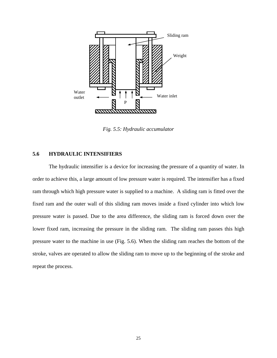

*Fig. 5.5: Hydraulic accumulator* 

# **5.6 HYDRAULIC INTENSIFIERS**

The hydraulic intensifier is a device for increasing the pressure of a quantity of water. In order to achieve this, a large amount of low pressure water is required. The intensifier has a fixed ram through which high pressure water is supplied to a machine. A sliding ram is fitted over the fixed ram and the outer wall of this sliding ram moves inside a fixed cylinder into which low pressure water is passed. Due to the area difference, the sliding ram is forced down over the lower fixed ram, increasing the pressure in the sliding ram. The sliding ram passes this high pressure water to the machine in use (Fig. 5.6). When the sliding ram reaches the bottom of the stroke, valves are operated to allow the sliding ram to move up to the beginning of the stroke and repeat the process.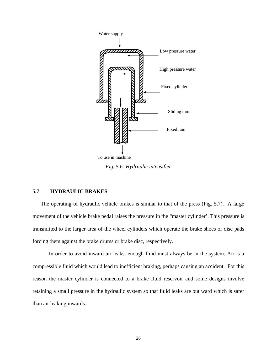

*Fig. 5.6: Hydraulic intensifier*

# **5.7 HYDRAULIC BRAKES**

The operating of hydraulic vehicle brakes is similar to that of the press (Fig. 5.7). A large movement of the vehicle brake pedal raises the pressure in the "master cylinder'. This pressure is transmitted to the larger area of the wheel cylinders which operate the brake shoes or disc pads forcing them against the brake drums or brake disc, respectively.

In order to avoid inward air leaks, enough fluid must always be in the system. Air is a compressible fluid which would lead to inefficient braking, perhaps causing an accident. For this reason the master cylinder is connected to a brake fluid reservoir and some designs involve retaining a small pressure in the hydraulic system so that fluid leaks are out ward which is safer than air leaking inwards.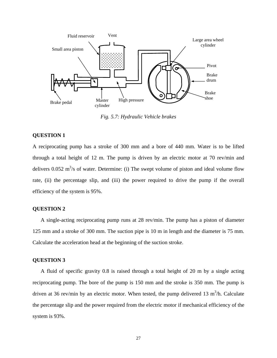

*Fig. 5.7: Hydraulic Vehicle brakes* 

# **QUESTION 1**

A reciprocating pump has a stroke of 300 mm and a bore of 440 mm. Water is to be lifted through a total height of 12 m. The pump is driven by an electric motor at 70 rev/min and delivers  $0.052 \text{ m}^3$ /s of water. Determine: (i) The swept volume of piston and ideal volume flow rate, (ii) the percentage slip, and (iii) the power required to drive the pump if the overall efficiency of the system is 95%.

# **QUESTION 2**

A single-acting reciprocating pump runs at 28 rev/min. The pump has a piston of diameter 125 mm and a stroke of 300 mm. The suction pipe is 10 m in length and the diameter is 75 mm. Calculate the acceleration head at the beginning of the suction stroke.

# **QUESTION 3**

A fluid of specific gravity 0.8 is raised through a total height of 20 m by a single acting reciprocating pump. The bore of the pump is 150 mm and the stroke is 350 mm. The pump is driven at 36 rev/min by an electric motor. When tested, the pump delivered 13  $m<sup>3</sup>/h$ . Calculate the percentage slip and the power required from the electric motor if mechanical efficiency of the system is 93%.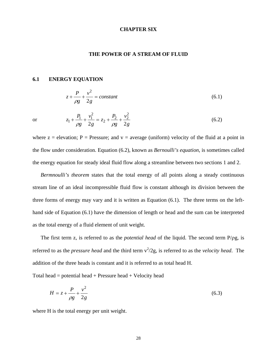#### **CHAPTER SIX**

#### **THE POWER OF A STREAM OF FLUID**

#### **6.1 ENERGY EQUATION**

$$
z + \frac{P}{\rho g} + \frac{v^2}{2g} = constant \tag{6.1}
$$

or 
$$
z_1 + \frac{P_1}{\rho g} + \frac{v_1^2}{2g} = z_2 + \frac{P_2}{\rho g} + \frac{v_2^2}{2g}
$$
 (6.2)

where  $z =$  elevation; P = Pressure; and  $v =$  average (uniform) velocity of the fluid at a point in the flow under consideration. Equation (6.2), known as *Bernoulli's equation*, is sometimes called the energy equation for steady ideal fluid flow along a streamline between two sections 1 and 2.

*Bermnoulli's theorem* states that the total energy of all points along a steady continuous stream line of an ideal incompressible fluid flow is constant although its division between the three forms of energy may vary and it is written as Equation (6.1). The three terms on the lefthand side of Equation (6.1) have the dimension of length or head and the sum can be interpreted as the total energy of a fluid element of unit weight.

The first term z, is referred to as the *potential head* of the liquid. The second term P/ρg, is referred to as the *pressure head* and the third term  $v^2/2g$ , is referred to as the *velocity head*. The addition of the three heads is constant and it is referred to as total head H.

Total head  $=$  potential head  $+$  Pressure head  $+$  Velocity head

$$
H = z + \frac{P}{\rho g} + \frac{v^2}{2g} \tag{6.3}
$$

where H is the total energy per unit weight.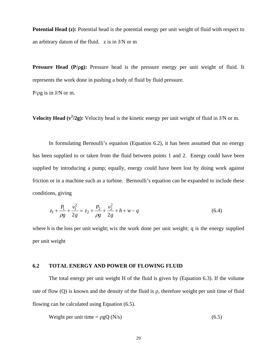**Potential Head (z):** Potential head is the potential energy per unit weight of fluid with respect to an arbitrary datum of the fluid. z is in J/N or m

**Pressure Head (P/**ρ**g):** Pressure head is the pressure energy per unit weight of fluid. It represents the work done in pushing a body of fluid by fluid pressure.

 $P/\rho g$  is in J/N or m.

**Velocity Head**  $(v^2/2g)$ : Velocity head is the kinetic energy per unit weight of fluid in J/N or m.

In formulating Bernoulli's equation (Equation 6.2), it has been assumed that no energy has been supplied to or taken from the fluid between points 1 and 2. Energy could have been supplied by introducing a pump; equally, energy could have been lost by doing work against friction or in a machine such as a turbine. Bernoulli's equation can be expanded to include these conditions, giving

$$
z_1 + \frac{P_1}{\rho g} + \frac{v_1^2}{2g} = z_2 + \frac{P_2}{\rho g} + \frac{v_2^2}{2g} + h + w - q
$$
\n(6.4)

where h is the loss per unit weight; wis the work done per unit weight; q is the energy supplied per unit weight

# **6.2 TOTAL ENERGY AND POWER OF FLOWING FLUID**

The total energy per unit weight H of the fluid is given by (Equation 6.3). If the volume rate of flow (Q) is known and the density of the fluid is ρ, therefore weight per unit time of fluid flowing can be calculated using Equation (6.5).

Weight per unit time = 
$$
\rho gQ(N/s)
$$
 (6.5)